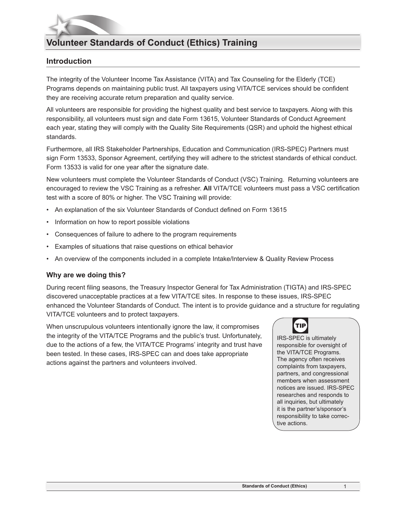# **Volunteer Standards of Conduct (Ethics) Training**

## **Introduction**

The integrity of the Volunteer Income Tax Assistance (VITA) and Tax Counseling for the Elderly (TCE) Programs depends on maintaining public trust. All taxpayers using VITA/TCE services should be confident they are receiving accurate return preparation and quality service.

All volunteers are responsible for providing the highest quality and best service to taxpayers. Along with this responsibility, all volunteers must sign and date Form 13615, Volunteer Standards of Conduct Agreement each year, stating they will comply with the Quality Site Requirements (QSR) and uphold the highest ethical standards.

Furthermore, all IRS Stakeholder Partnerships, Education and Communication (IRS-SPEC) Partners must sign Form 13533, Sponsor Agreement, certifying they will adhere to the strictest standards of ethical conduct. Form 13533 is valid for one year after the signature date.

New volunteers must complete the Volunteer Standards of Conduct (VSC) Training. Returning volunteers are encouraged to review the VSC Training as a refresher. **All** VITA/TCE volunteers must pass a VSC certification test with a score of 80% or higher. The VSC Training will provide:

- An explanation of the six Volunteer Standards of Conduct defined on Form 13615
- Information on how to report possible violations
- Consequences of failure to adhere to the program requirements
- Examples of situations that raise questions on ethical behavior
- An overview of the components included in a complete Intake/Interview & Quality Review Process

## **Why are we doing this?**

During recent filing seasons, the Treasury Inspector General for Tax Administration (TIGTA) and IRS-SPEC discovered unacceptable practices at a few VITA/TCE sites. In response to these issues, IRS-SPEC enhanced the Volunteer Standards of Conduct. The intent is to provide guidance and a structure for regulating VITA/TCE volunteers and to protect taxpayers.

When unscrupulous volunteers intentionally ignore the law, it compromises the integrity of the VITA/TCE Programs and the public's trust. Unfortunately, due to the actions of a few, the VITA/TCE Programs' integrity and trust have been tested. In these cases, IRS-SPEC can and does take appropriate actions against the partners and volunteers involved.



IRS-SPEC is ultimately responsible for oversight of the VITA/TCE Programs. The agency often receives complaints from taxpayers, partners, and congressional members when assessment notices are issued. IRS-SPEC researches and responds to all inquiries, but ultimately it is the partner's/sponsor's responsibility to take corrective actions.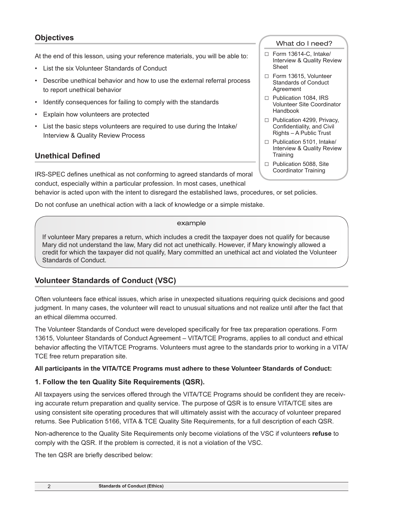# **Objectives**

At the end of this lesson, using your reference materials, you will be able to:

- List the six Volunteer Standards of Conduct
- Describe unethical behavior and how to use the external referral process to report unethical behavior
- Identify consequences for failing to comply with the standards
- Explain how volunteers are protected
- List the basic steps volunteers are required to use during the Intake/ Interview & Quality Review Process

## **Unethical Defined**

IRS-SPEC defines unethical as not conforming to agreed standards of moral conduct, especially within a particular profession. In most cases, unethical

behavior is acted upon with the intent to disregard the established laws, procedures, or set policies.

Do not confuse an unethical action with a lack of knowledge or a simple mistake.

#### example

If volunteer Mary prepares a return, which includes a credit the taxpayer does not qualify for because Mary did not understand the law, Mary did not act unethically. However, if Mary knowingly allowed a credit for which the taxpayer did not qualify, Mary committed an unethical act and violated the Volunteer Standards of Conduct.

## **Volunteer Standards of Conduct (VSC)**

Often volunteers face ethical issues, which arise in unexpected situations requiring quick decisions and good judgment. In many cases, the volunteer will react to unusual situations and not realize until after the fact that an ethical dilemma occurred.

The Volunteer Standards of Conduct were developed specifically for free tax preparation operations. Form 13615, Volunteer Standards of Conduct Agreement – VITA/TCE Programs, applies to all conduct and ethical behavior affecting the VITA/TCE Programs. Volunteers must agree to the standards prior to working in a VITA/ TCE free return preparation site.

## **All participants in the VITA/TCE Programs must adhere to these Volunteer Standards of Conduct:**

## **1. Follow the ten Quality Site Requirements (QSR).**

All taxpayers using the services offered through the VITA/TCE Programs should be confident they are receiving accurate return preparation and quality service. The purpose of QSR is to ensure VITA/TCE sites are using consistent site operating procedures that will ultimately assist with the accuracy of volunteer prepared returns. See Publication 5166, VITA & TCE Quality Site Requirements, for a full description of each QSR.

Non-adherence to the Quality Site Requirements only become violations of the VSC if volunteers **refuse** to comply with the QSR. If the problem is corrected, it is not a violation of the VSC.

The ten QSR are briefly described below:

#### What do I need?

- □ Form 13614-C, Intake/ Interview & Quality Review Sheet
- □ Form 13615, Volunteer Standards of Conduct Agreement
- □ Publication 1084, IRS Volunteer Site Coordinator Handbook
- □ Publication 4299, Privacy, Confidentiality, and Civil Rights – A Public Trust
- □ Publication 5101, Intake/ Interview & Quality Review **Training**
- □ Publication 5088, Site Coordinator Training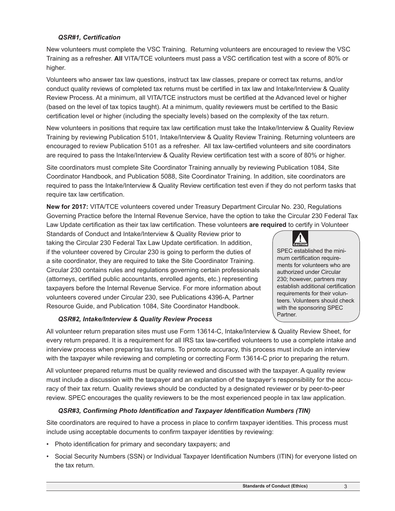## *QSR#1, Certification*

New volunteers must complete the VSC Training. Returning volunteers are encouraged to review the VSC Training as a refresher. **All** VITA/TCE volunteers must pass a VSC certification test with a score of 80% or higher.

Volunteers who answer tax law questions, instruct tax law classes, prepare or correct tax returns, and/or conduct quality reviews of completed tax returns must be certified in tax law and Intake/Interview & Quality Review Process. At a minimum, all VITA/TCE instructors must be certified at the Advanced level or higher (based on the level of tax topics taught). At a minimum, quality reviewers must be certified to the Basic certification level or higher (including the specialty levels) based on the complexity of the tax return.

New volunteers in positions that require tax law certification must take the Intake/Interview & Quality Review Training by reviewing Publication 5101, Intake/Interview & Quality Review Training. Returning volunteers are encouraged to review Publication 5101 as a refresher. All tax law-certified volunteers and site coordinators are required to pass the Intake/Interview & Quality Review certification test with a score of 80% or higher.

Site coordinators must complete Site Coordinator Training annually by reviewing Publication 1084, Site Coordinator Handbook, and Publication 5088, Site Coordinator Training. In addition, site coordinators are required to pass the Intake/Interview & Quality Review certification test even if they do not perform tasks that require tax law certification.

**New for 2017:** VITA/TCE volunteers covered under Treasury Department Circular No. 230, Regulations Governing Practice before the Internal Revenue Service, have the option to take the Circular 230 Federal Tax Law Update certification as their tax law certification. These volunteers **are required** to certify in Volunteer

Standards of Conduct and Intake/Interview & Quality Review prior to taking the Circular 230 Federal Tax Law Update certification. In addition, if the volunteer covered by Circular 230 is going to perform the duties of a site coordinator, they are required to take the Site Coordinator Training. Circular 230 contains rules and regulations governing certain professionals (attorneys, certified public accountants, enrolled agents, etc.) representing taxpayers before the Internal Revenue Service. For more information about volunteers covered under Circular 230, see Publications 4396-A, Partner Resource Guide, and Publication 1084, Site Coordinator Handbook.



SPEC established the minimum certification requirements for volunteers who are authorized under Circular 230; however, partners may establish additional certification requirements for their volunteers. Volunteers should check with the sponsoring SPEC Partner.

## *QSR#2, Intake/Interview & Quality Review Process*

All volunteer return preparation sites must use Form 13614-C, Intake/Interview & Quality Review Sheet, for every return prepared. It is a requirement for all IRS tax law-certified volunteers to use a complete intake and interview process when preparing tax returns. To promote accuracy, this process must include an interview with the taxpayer while reviewing and completing or correcting Form 13614-C prior to preparing the return.

All volunteer prepared returns must be quality reviewed and discussed with the taxpayer. A quality review must include a discussion with the taxpayer and an explanation of the taxpayer's responsibility for the accuracy of their tax return. Quality reviews should be conducted by a designated reviewer or by peer-to-peer review. SPEC encourages the quality reviewers to be the most experienced people in tax law application.

## *QSR#3, Confirming Photo Identification and Taxpayer Identification Numbers (TIN)*

Site coordinators are required to have a process in place to confirm taxpayer identities. This process must include using acceptable documents to confirm taxpayer identities by reviewing:

- Photo identification for primary and secondary taxpayers; and
- Social Security Numbers (SSN) or Individual Taxpayer Identification Numbers (ITIN) for everyone listed on the tax return.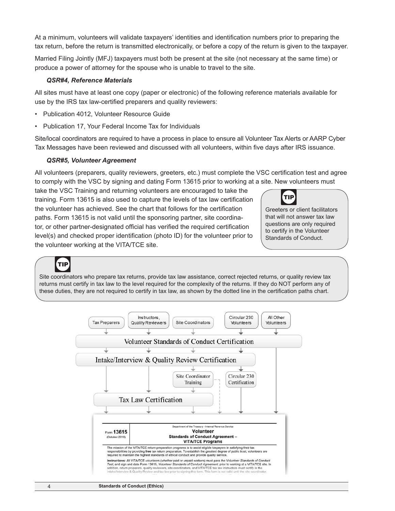At a minimum, volunteers will validate taxpayers' identities and identification numbers prior to preparing the tax return, before the return is transmitted electronically, or before a copy of the return is given to the taxpayer.

Married Filing Jointly (MFJ) taxpayers must both be present at the site (not necessary at the same time) or produce a power of attorney for the spouse who is unable to travel to the site.

#### *QSR#4, Reference Materials*

All sites must have at least one copy (paper or electronic) of the following reference materials available for use by the IRS tax law-certified preparers and quality reviewers:

- Publication 4012, Volunteer Resource Guide
- Publication 17, Your Federal Income Tax for Individuals

Site/local coordinators are required to have a process in place to ensure all Volunteer Tax Alerts or AARP Cyber Tax Messages have been reviewed and discussed with all volunteers, within five days after IRS issuance.

#### *QSR#5, Volunteer Agreement*

All volunteers (preparers, quality reviewers, greeters, etc.) must complete the VSC certification test and agree to comply with the VSC by signing and dating Form 13615 prior to working at a site. New volunteers must

take the VSC Training and returning volunteers are encouraged to take the training. Form 13615 is also used to capture the levels of tax law certification the volunteer has achieved. See the chart that follows for the certification paths. Form 13615 is not valid until the sponsoring partner, site coordinator, or other partner-designated official has verified the required certification level(s) and checked proper identification (photo ID) for the volunteer prior to the volunteer working at the VITA/TCE site.



Greeters or client facilitators that will not answer tax law questions are only required to certify in the Volunteer Standards of Conduct.

# TIP

Site coordinators who prepare tax returns, provide tax law assistance, correct rejected returns, or quality review tax returns must certify in tax law to the level required for the complexity of the returns. If they do NOT perform any of these duties, they are not required to certify in tax law, as shown by the dotted line in the certification paths chart.

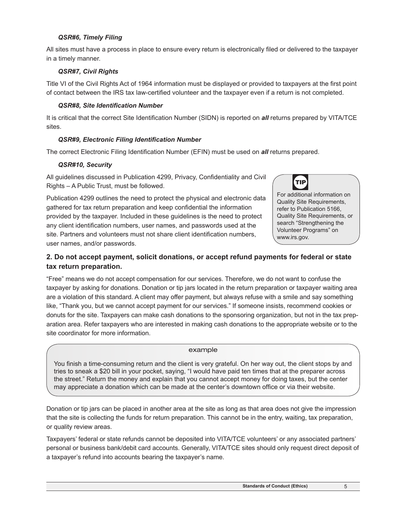## *QSR#6, Timely Filing*

All sites must have a process in place to ensure every return is electronically filed or delivered to the taxpayer in a timely manner.

## *QSR#7, Civil Rights*

Title VI of the Civil Rights Act of 1964 information must be displayed or provided to taxpayers at the first point of contact between the IRS tax law-certified volunteer and the taxpayer even if a return is not completed.

#### *QSR#8, Site Identification Number*

It is critical that the correct Site Identification Number (SIDN) is reported on *all* returns prepared by VITA/TCE sites.

## *QSR#9, Electronic Filing Identification Number*

The correct Electronic Filing Identification Number (EFIN) must be used on *all* returns prepared.

#### *QSR#10, Security*

user names, and/or passwords.

All guidelines discussed in Publication 4299, Privacy, Confidentiality and Civil Rights – A Public Trust, must be followed.



Publication 4299 outlines the need to protect the physical and electronic data gathered for tax return preparation and keep confidential the information provided by the taxpayer. Included in these guidelines is the need to protect any client identification numbers, user names, and passwords used at the site. Partners and volunteers must not share client identification numbers, For additional information on Quality Site Requirements, refer to Publication 5166, Quality Site Requirements, or search "Strengthening the Volunteer Programs" on www.irs.gov.

## **2. Do not accept payment, solicit donations, or accept refund payments for federal or state tax return preparation.**

"Free" means we do not accept compensation for our services. Therefore, we do not want to confuse the taxpayer by asking for donations. Donation or tip jars located in the return preparation or taxpayer waiting area are a violation of this standard. A client may offer payment, but always refuse with a smile and say something like, "Thank you, but we cannot accept payment for our services." If someone insists, recommend cookies or donuts for the site. Taxpayers can make cash donations to the sponsoring organization, but not in the tax preparation area. Refer taxpayers who are interested in making cash donations to the appropriate website or to the site coordinator for more information.

#### example

You finish a time-consuming return and the client is very grateful. On her way out, the client stops by and tries to sneak a \$20 bill in your pocket, saying, "I would have paid ten times that at the preparer across the street." Return the money and explain that you cannot accept money for doing taxes, but the center may appreciate a donation which can be made at the center's downtown office or via their website.

Donation or tip jars can be placed in another area at the site as long as that area does not give the impression that the site is collecting the funds for return preparation. This cannot be in the entry, waiting, tax preparation, or quality review areas.

Taxpayers' federal or state refunds cannot be deposited into VITA/TCE volunteers' or any associated partners' personal or business bank/debit card accounts. Generally, VITA/TCE sites should only request direct deposit of a taxpayer's refund into accounts bearing the taxpayer's name.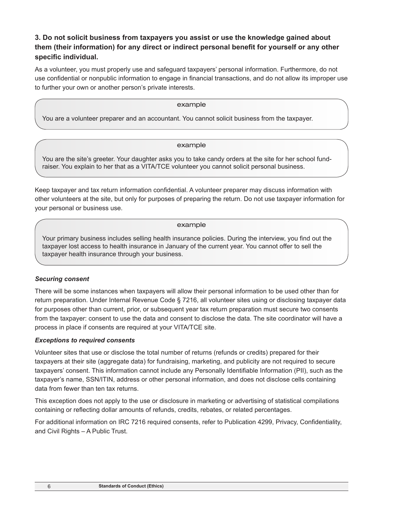# **3. Do not solicit business from taxpayers you assist or use the knowledge gained about them (their information) for any direct or indirect personal benefit for yourself or any other specific individual.**

As a volunteer, you must properly use and safeguard taxpayers' personal information. Furthermore, do not use confidential or nonpublic information to engage in financial transactions, and do not allow its improper use to further your own or another person's private interests.

#### example

You are a volunteer preparer and an accountant. You cannot solicit business from the taxpayer.

#### example

You are the site's greeter. Your daughter asks you to take candy orders at the site for her school fundraiser. You explain to her that as a VITA/TCE volunteer you cannot solicit personal business.

Keep taxpayer and tax return information confidential. A volunteer preparer may discuss information with other volunteers at the site, but only for purposes of preparing the return. Do not use taxpayer information for your personal or business use.

#### example

Your primary business includes selling health insurance policies. During the interview, you find out the taxpayer lost access to health insurance in January of the current year. You cannot offer to sell the taxpayer health insurance through your business.

## *Securing consent*

There will be some instances when taxpayers will allow their personal information to be used other than for return preparation. Under Internal Revenue Code § 7216, all volunteer sites using or disclosing taxpayer data for purposes other than current, prior, or subsequent year tax return preparation must secure two consents from the taxpayer: consent to use the data and consent to disclose the data. The site coordinator will have a process in place if consents are required at your VITA/TCE site.

## *Exceptions to required consents*

Volunteer sites that use or disclose the total number of returns (refunds or credits) prepared for their taxpayers at their site (aggregate data) for fundraising, marketing, and publicity are not required to secure taxpayers' consent. This information cannot include any Personally Identifiable Information (PII), such as the taxpayer's name, SSN/ITIN, address or other personal information, and does not disclose cells containing data from fewer than ten tax returns.

This exception does not apply to the use or disclosure in marketing or advertising of statistical compilations containing or reflecting dollar amounts of refunds, credits, rebates, or related percentages.

For additional information on IRC 7216 required consents, refer to Publication 4299, Privacy, Confidentiality, and Civil Rights – A Public Trust.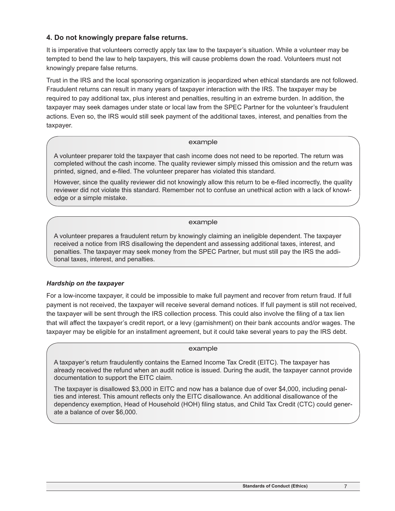## **4. Do not knowingly prepare false returns.**

It is imperative that volunteers correctly apply tax law to the taxpayer's situation. While a volunteer may be tempted to bend the law to help taxpayers, this will cause problems down the road. Volunteers must not knowingly prepare false returns.

Trust in the IRS and the local sponsoring organization is jeopardized when ethical standards are not followed. Fraudulent returns can result in many years of taxpayer interaction with the IRS. The taxpayer may be required to pay additional tax, plus interest and penalties, resulting in an extreme burden. In addition, the taxpayer may seek damages under state or local law from the SPEC Partner for the volunteer's fraudulent actions. Even so, the IRS would still seek payment of the additional taxes, interest, and penalties from the taxpayer.

#### example

A volunteer preparer told the taxpayer that cash income does not need to be reported. The return was completed without the cash income. The quality reviewer simply missed this omission and the return was printed, signed, and e-filed. The volunteer preparer has violated this standard.

However, since the quality reviewer did not knowingly allow this return to be e-filed incorrectly, the quality reviewer did not violate this standard. Remember not to confuse an unethical action with a lack of knowledge or a simple mistake.

#### example

A volunteer prepares a fraudulent return by knowingly claiming an ineligible dependent. The taxpayer received a notice from IRS disallowing the dependent and assessing additional taxes, interest, and penalties. The taxpayer may seek money from the SPEC Partner, but must still pay the IRS the additional taxes, interest, and penalties.

## *Hardship on the taxpayer*

For a low-income taxpayer, it could be impossible to make full payment and recover from return fraud. If full payment is not received, the taxpayer will receive several demand notices. If full payment is still not received, the taxpayer will be sent through the IRS collection process. This could also involve the filing of a tax lien that will affect the taxpayer's credit report, or a levy (garnishment) on their bank accounts and/or wages. The taxpayer may be eligible for an installment agreement, but it could take several years to pay the IRS debt.

## example

A taxpayer's return fraudulently contains the Earned Income Tax Credit (EITC). The taxpayer has already received the refund when an audit notice is issued. During the audit, the taxpayer cannot provide documentation to support the EITC claim.

The taxpayer is disallowed \$3,000 in EITC and now has a balance due of over \$4,000, including penalties and interest. This amount reflects only the EITC disallowance. An additional disallowance of the dependency exemption, Head of Household (HOH) filing status, and Child Tax Credit (CTC) could generate a balance of over \$6,000.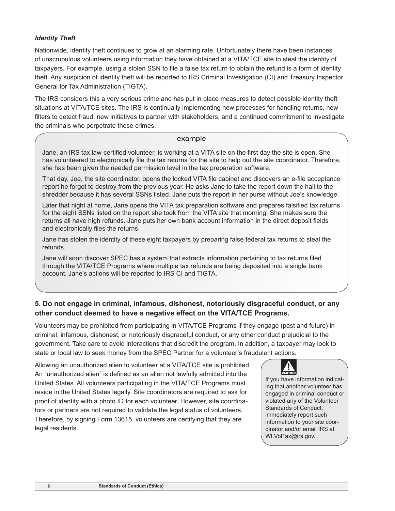## *Identity Theft*

Nationwide, identity theft continues to grow at an alarming rate. Unfortunately there have been instances of unscrupulous volunteers using information they have obtained at a VITA/TCE site to steal the identity of taxpayers. For example, using a stolen SSN to file a false tax return to obtain the refund is a form of identity theft. Any suspicion of identity theft will be reported to IRS Criminal Investigation (CI) and Treasury Inspector General for Tax Administration (TIGTA).

The IRS considers this a very serious crime and has put in place measures to detect possible identity theft situations at VITA/TCE sites. The IRS is continually implementing new processes for handling returns, new filters to detect fraud, new initiatives to partner with stakeholders, and a continued commitment to investigate the criminals who perpetrate these crimes.

#### example

Jane, an IRS tax law-certified volunteer, is working at a VITA site on the first day the site is open. She has volunteered to electronically file the tax returns for the site to help out the site coordinator. Therefore, she has been given the needed permission level in the tax preparation software.

That day, Joe, the site coordinator, opens the locked VITA file cabinet and discovers an e-file acceptance report he forgot to destroy from the previous year. He asks Jane to take the report down the hall to the shredder because it has several SSNs listed. Jane puts the report in her purse without Joe's knowledge.

Later that night at home, Jane opens the VITA tax preparation software and prepares falsified tax returns for the eight SSNs listed on the report she took from the VITA site that morning. She makes sure the returns all have high refunds. Jane puts her own bank account information in the direct deposit fields and electronically files the returns.

Jane has stolen the identity of these eight taxpayers by preparing false federal tax returns to steal the refunds.

Jane will soon discover SPEC has a system that extracts information pertaining to tax returns filed through the VITA/TCE Programs where multiple tax refunds are being deposited into a single bank account. Jane's actions will be reported to IRS CI and TIGTA.

# **5. Do not engage in criminal, infamous, dishonest, notoriously disgraceful conduct, or any other conduct deemed to have a negative effect on the VITA/TCE Programs.**

Volunteers may be prohibited from participating in VITA/TCE Programs if they engage (past and future) in criminal, infamous, dishonest, or notoriously disgraceful conduct, or any other conduct prejudicial to the government. Take care to avoid interactions that discredit the program. In addition, a taxpayer may look to state or local law to seek money from the SPEC Partner for a volunteer's fraudulent actions.

Allowing an unauthorized alien to volunteer at a VITA/TCE site is prohibited. An "unauthorized alien" is defined as an alien not lawfully admitted into the United States. All volunteers participating in the VITA/TCE Programs must reside in the United States legally. Site coordinators are required to ask for proof of identity with a photo ID for each volunteer. However, site coordinators or partners are not required to validate the legal status of volunteers. Therefore, by signing Form 13615, volunteers are certifying that they are legal residents.



If you have information indicating that another volunteer has engaged in criminal conduct or violated any of the Volunteer Standards of Conduct, immediately report such information to your site coordinator and/or email IRS at [WI.VolTax@irs.gov](mailto:WI.VolTax@irs.gov).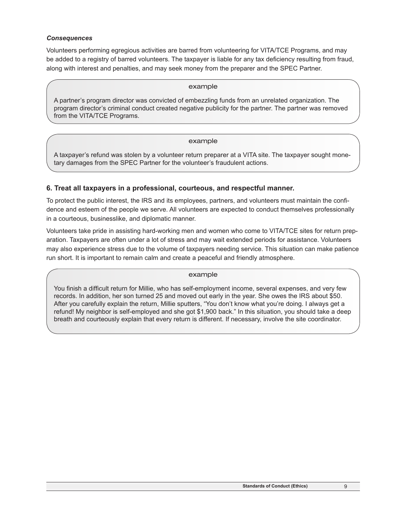#### *Consequences*

Volunteers performing egregious activities are barred from volunteering for VITA/TCE Programs, and may be added to a registry of barred volunteers. The taxpayer is liable for any tax deficiency resulting from fraud, along with interest and penalties, and may seek money from the preparer and the SPEC Partner.

#### example

A partner's program director was convicted of embezzling funds from an unrelated organization. The program director's criminal conduct created negative publicity for the partner. The partner was removed from the VITA/TCE Programs.

#### example

A taxpayer's refund was stolen by a volunteer return preparer at a VITA site. The taxpayer sought monetary damages from the SPEC Partner for the volunteer's fraudulent actions.

## **6. Treat all taxpayers in a professional, courteous, and respectful manner.**

To protect the public interest, the IRS and its employees, partners, and volunteers must maintain the confidence and esteem of the people we serve. All volunteers are expected to conduct themselves professionally in a courteous, businesslike, and diplomatic manner.

Volunteers take pride in assisting hard-working men and women who come to VITA/TCE sites for return preparation. Taxpayers are often under a lot of stress and may wait extended periods for assistance. Volunteers may also experience stress due to the volume of taxpayers needing service. This situation can make patience run short. It is important to remain calm and create a peaceful and friendly atmosphere.

#### example

You finish a difficult return for Millie, who has self-employment income, several expenses, and very few records. In addition, her son turned 25 and moved out early in the year. She owes the IRS about \$50. After you carefully explain the return, Millie sputters, "You don't know what you're doing. I always get a refund! My neighbor is self-employed and she got \$1,900 back." In this situation, you should take a deep breath and courteously explain that every return is different. If necessary, involve the site coordinator.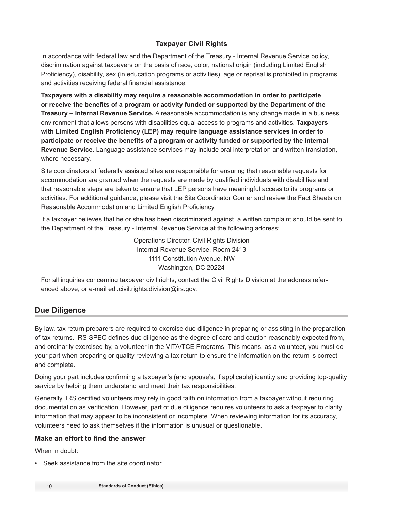## **Taxpayer Civil Rights**

In accordance with federal law and the Department of the Treasury - Internal Revenue Service policy, discrimination against taxpayers on the basis of race, color, national origin (including Limited English Proficiency), disability, sex (in education programs or activities), age or reprisal is prohibited in programs and activities receiving federal financial assistance.

**Taxpayers with a disability may require a reasonable accommodation in order to participate or receive the benefits of a program or activity funded or supported by the Department of the Treasury – Internal Revenue Service.** A reasonable accommodation is any change made in a business environment that allows persons with disabilities equal access to programs and activities. **Taxpayers with Limited English Proficiency (LEP) may require language assistance services in order to participate or receive the benefits of a program or activity funded or supported by the Internal Revenue Service.** Language assistance services may include oral interpretation and written translation, where necessary.

Site coordinators at federally assisted sites are responsible for ensuring that reasonable requests for accommodation are granted when the requests are made by qualified individuals with disabilities and that reasonable steps are taken to ensure that LEP persons have meaningful access to its programs or activities. For additional guidance, please visit the Site Coordinator Corner and review the Fact Sheets on Reasonable Accommodation and Limited English Proficiency.

If a taxpayer believes that he or she has been discriminated against, a written complaint should be sent to the Department of the Treasury - Internal Revenue Service at the following address:

> Operations Director, Civil Rights Division Internal Revenue Service, Room 2413 1111 Constitution Avenue, NW Washington, DC 20224

For all inquiries concerning taxpayer civil rights, contact the Civil Rights Division at the address referenced above, or e-mail edi.civil.rights.division@irs.gov.

# **Due Diligence**

By law, tax return preparers are required to exercise due diligence in preparing or assisting in the preparation of tax returns. IRS-SPEC defines due diligence as the degree of care and caution reasonably expected from, and ordinarily exercised by, a volunteer in the VITA/TCE Programs. This means, as a volunteer, you must do your part when preparing or quality reviewing a tax return to ensure the information on the return is correct and complete.

Doing your part includes confirming a taxpayer's (and spouse's, if applicable) identity and providing top-quality service by helping them understand and meet their tax responsibilities.

Generally, IRS certified volunteers may rely in good faith on information from a taxpayer without requiring documentation as verification. However, part of due diligence requires volunteers to ask a taxpayer to clarify information that may appear to be inconsistent or incomplete. When reviewing information for its accuracy, volunteers need to ask themselves if the information is unusual or questionable.

## **Make an effort to find the answer**

When in doubt:

• Seek assistance from the site coordinator

10 **Standards of Conduct (Ethics)**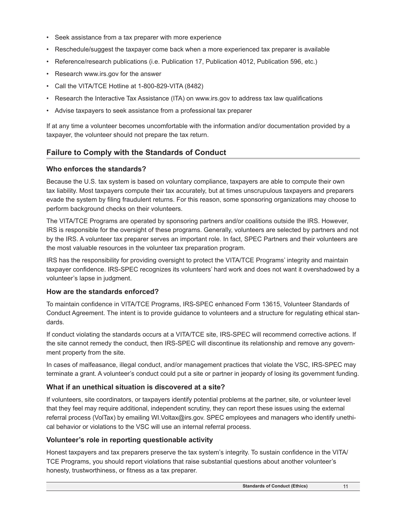- Seek assistance from a tax preparer with more experience
- Reschedule/suggest the taxpayer come back when a more experienced tax preparer is available
- Reference/research publications (i.e. Publication 17, Publication 4012, Publication 596, etc.)
- Research www.irs.gov for the answer
- Call the VITA/TCE Hotline at 1-800-829-VITA (8482)
- Research the Interactive Tax Assistance (ITA) on www.irs.gov to address tax law qualifications
- Advise taxpayers to seek assistance from a professional tax preparer

If at any time a volunteer becomes uncomfortable with the information and/or documentation provided by a taxpayer, the volunteer should not prepare the tax return.

## **Failure to Comply with the Standards of Conduct**

## **Who enforces the standards?**

Because the U.S. tax system is based on voluntary compliance, taxpayers are able to compute their own tax liability. Most taxpayers compute their tax accurately, but at times unscrupulous taxpayers and preparers evade the system by filing fraudulent returns. For this reason, some sponsoring organizations may choose to perform background checks on their volunteers.

The VITA/TCE Programs are operated by sponsoring partners and/or coalitions outside the IRS. However, IRS is responsible for the oversight of these programs. Generally, volunteers are selected by partners and not by the IRS. A volunteer tax preparer serves an important role. In fact, SPEC Partners and their volunteers are the most valuable resources in the volunteer tax preparation program.

IRS has the responsibility for providing oversight to protect the VITA/TCE Programs' integrity and maintain taxpayer confidence. IRS-SPEC recognizes its volunteers' hard work and does not want it overshadowed by a volunteer's lapse in judgment.

## **How are the standards enforced?**

To maintain confidence in VITA/TCE Programs, IRS-SPEC enhanced Form 13615, Volunteer Standards of Conduct Agreement. The intent is to provide guidance to volunteers and a structure for regulating ethical standards.

If conduct violating the standards occurs at a VITA/TCE site, IRS-SPEC will recommend corrective actions. If the site cannot remedy the conduct, then IRS-SPEC will discontinue its relationship and remove any government property from the site.

In cases of malfeasance, illegal conduct, and/or management practices that violate the VSC, IRS-SPEC may terminate a grant. A volunteer's conduct could put a site or partner in jeopardy of losing its government funding.

## **What if an unethical situation is discovered at a site?**

If volunteers, site coordinators, or taxpayers identify potential problems at the partner, site, or volunteer level that they feel may require additional, independent scrutiny, they can report these issues using the external referral process (VolTax) by emailing [WI.Voltax@irs.gov.](mailto:WI.Voltax@irs.gov) SPEC employees and managers who identify unethical behavior or violations to the VSC will use an internal referral process.

## **Volunteer's role in reporting questionable activity**

Honest taxpayers and tax preparers preserve the tax system's integrity. To sustain confidence in the VITA/ TCE Programs, you should report violations that raise substantial questions about another volunteer's honesty, trustworthiness, or fitness as a tax preparer.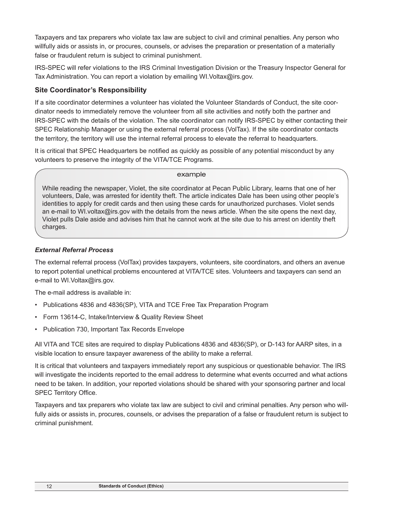Taxpayers and tax preparers who violate tax law are subject to civil and criminal penalties. Any person who willfully aids or assists in, or procures, counsels, or advises the preparation or presentation of a materially false or fraudulent return is subject to criminal punishment.

IRS-SPEC will refer violations to the IRS Criminal Investigation Division or the Treasury Inspector General for Tax Administration. You can report a violation by emailing WI.Voltax@irs.gov.

## **Site Coordinator's Responsibility**

If a site coordinator determines a volunteer has violated the Volunteer Standards of Conduct, the site coordinator needs to immediately remove the volunteer from all site activities and notify both the partner and IRS-SPEC with the details of the violation. The site coordinator can notify IRS-SPEC by either contacting their SPEC Relationship Manager or using the external referral process (VolTax). If the site coordinator contacts the territory, the territory will use the internal referral process to elevate the referral to headquarters.

It is critical that SPEC Headquarters be notified as quickly as possible of any potential misconduct by any volunteers to preserve the integrity of the VITA/TCE Programs.

#### example

While reading the newspaper, Violet, the site coordinator at Pecan Public Library, learns that one of her volunteers, Dale, was arrested for identity theft. The article indicates Dale has been using other people's identities to apply for credit cards and then using these cards for unauthorized purchases. Violet sends an e-mail to WI.voltax@irs.gov with the details from the news article. When the site opens the next day, Violet pulls Dale aside and advises him that he cannot work at the site due to his arrest on identity theft charges.

## *External Referral Process*

The external referral process (VolTax) provides taxpayers, volunteers, site coordinators, and others an avenue to report potential unethical problems encountered at VITA/TCE sites. Volunteers and taxpayers can send an e-mail to WI.Voltax@irs.gov.

The e-mail address is available in:

- Publications 4836 and 4836(SP), VITA and TCE Free Tax Preparation Program
- Form 13614-C, Intake/Interview & Quality Review Sheet
- Publication 730, Important Tax Records Envelope

All VITA and TCE sites are required to display Publications 4836 and 4836(SP), or D-143 for AARP sites, in a visible location to ensure taxpayer awareness of the ability to make a referral.

It is critical that volunteers and taxpayers immediately report any suspicious or questionable behavior. The IRS will investigate the incidents reported to the email address to determine what events occurred and what actions need to be taken. In addition, your reported violations should be shared with your sponsoring partner and local SPEC Territory Office.

Taxpayers and tax preparers who violate tax law are subject to civil and criminal penalties. Any person who willfully aids or assists in, procures, counsels, or advises the preparation of a false or fraudulent return is subject to criminal punishment.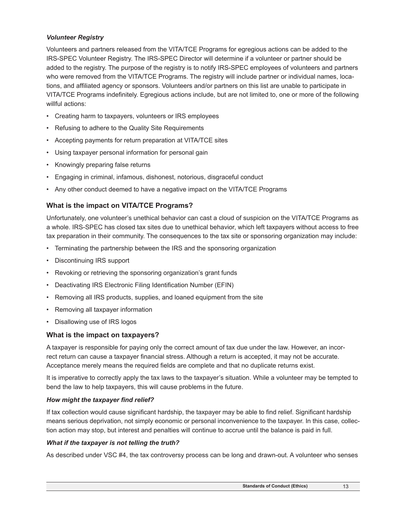## *Volunteer Registry*

Volunteers and partners released from the VITA/TCE Programs for egregious actions can be added to the IRS-SPEC Volunteer Registry. The IRS-SPEC Director will determine if a volunteer or partner should be added to the registry. The purpose of the registry is to notify IRS-SPEC employees of volunteers and partners who were removed from the VITA/TCE Programs. The registry will include partner or individual names, locations, and affiliated agency or sponsors. Volunteers and/or partners on this list are unable to participate in VITA/TCE Programs indefinitely. Egregious actions include, but are not limited to, one or more of the following willful actions:

- Creating harm to taxpayers, volunteers or IRS employees
- Refusing to adhere to the Quality Site Requirements
- Accepting payments for return preparation at VITA/TCE sites
- Using taxpayer personal information for personal gain
- Knowingly preparing false returns
- Engaging in criminal, infamous, dishonest, notorious, disgraceful conduct
- Any other conduct deemed to have a negative impact on the VITA/TCE Programs

## **What is the impact on VITA/TCE Programs?**

Unfortunately, one volunteer's unethical behavior can cast a cloud of suspicion on the VITA/TCE Programs as a whole. IRS-SPEC has closed tax sites due to unethical behavior, which left taxpayers without access to free tax preparation in their community. The consequences to the tax site or sponsoring organization may include:

- Terminating the partnership between the IRS and the sponsoring organization
- Discontinuing IRS support
- Revoking or retrieving the sponsoring organization's grant funds
- Deactivating IRS Electronic Filing Identification Number (EFIN)
- Removing all IRS products, supplies, and loaned equipment from the site
- Removing all taxpayer information
- Disallowing use of IRS logos

## **What is the impact on taxpayers?**

A taxpayer is responsible for paying only the correct amount of tax due under the law. However, an incorrect return can cause a taxpayer financial stress. Although a return is accepted, it may not be accurate. Acceptance merely means the required fields are complete and that no duplicate returns exist.

It is imperative to correctly apply the tax laws to the taxpayer's situation. While a volunteer may be tempted to bend the law to help taxpayers, this will cause problems in the future.

## *How might the taxpayer find relief?*

If tax collection would cause significant hardship, the taxpayer may be able to find relief. Significant hardship means serious deprivation, not simply economic or personal inconvenience to the taxpayer. In this case, collection action may stop, but interest and penalties will continue to accrue until the balance is paid in full.

## *What if the taxpayer is not telling the truth?*

As described under VSC #4, the tax controversy process can be long and drawn-out. A volunteer who senses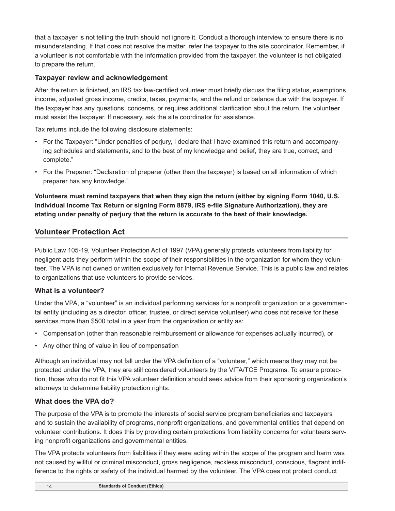that a taxpayer is not telling the truth should not ignore it. Conduct a thorough interview to ensure there is no misunderstanding. If that does not resolve the matter, refer the taxpayer to the site coordinator. Remember, if a volunteer is not comfortable with the information provided from the taxpayer, the volunteer is not obligated to prepare the return.

## **Taxpayer review and acknowledgement**

After the return is finished, an IRS tax law-certified volunteer must briefly discuss the filing status, exemptions, income, adjusted gross income, credits, taxes, payments, and the refund or balance due with the taxpayer. If the taxpayer has any questions, concerns, or requires additional clarification about the return, the volunteer must assist the taxpayer. If necessary, ask the site coordinator for assistance.

Tax returns include the following disclosure statements:

- For the Taxpayer: "Under penalties of perjury, I declare that I have examined this return and accompanying schedules and statements, and to the best of my knowledge and belief, they are true, correct, and complete."
- For the Preparer: "Declaration of preparer (other than the taxpayer) is based on all information of which preparer has any knowledge."

**Volunteers must remind taxpayers that when they sign the return (either by signing Form 1040, U.S. Individual Income Tax Return or signing Form 8879, IRS e-file Signature Authorization), they are stating under penalty of perjury that the return is accurate to the best of their knowledge.**

# **Volunteer Protection Act**

Public Law 105-19, Volunteer Protection Act of 1997 (VPA) generally protects volunteers from liability for negligent acts they perform within the scope of their responsibilities in the organization for whom they volunteer. The VPA is not owned or written exclusively for Internal Revenue Service. This is a public law and relates to organizations that use volunteers to provide services.

## **What is a volunteer?**

Under the VPA, a "volunteer" is an individual performing services for a nonprofit organization or a governmental entity (including as a director, officer, trustee, or direct service volunteer) who does not receive for these services more than \$500 total in a year from the organization or entity as:

- Compensation (other than reasonable reimbursement or allowance for expenses actually incurred), or
- Any other thing of value in lieu of compensation

Although an individual may not fall under the VPA definition of a "volunteer," which means they may not be protected under the VPA, they are still considered volunteers by the VITA/TCE Programs. To ensure protection, those who do not fit this VPA volunteer definition should seek advice from their sponsoring organization's attorneys to determine liability protection rights.

## **What does the VPA do?**

The purpose of the VPA is to promote the interests of social service program beneficiaries and taxpayers and to sustain the availability of programs, nonprofit organizations, and governmental entities that depend on volunteer contributions. It does this by providing certain protections from liability concerns for volunteers serving nonprofit organizations and governmental entities.

The VPA protects volunteers from liabilities if they were acting within the scope of the program and harm was not caused by willful or criminal misconduct, gross negligence, reckless misconduct, conscious, flagrant indifference to the rights or safety of the individual harmed by the volunteer. The VPA does not protect conduct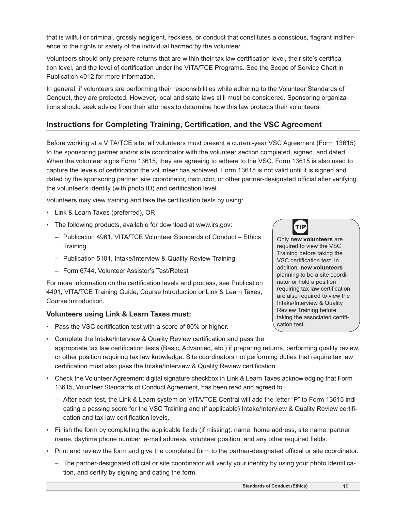that is willful or criminal, grossly negligent, reckless, or conduct that constitutes a conscious, flagrant indifference to the rights or safety of the individual harmed by the volunteer.

Volunteers should only prepare returns that are within their tax law certification level, their site's certification level, and the level of certification under the VITA/TCE Programs. See the Scope of Service Chart in Publication 4012 for more information.

In general, if volunteers are performing their responsibilities while adhering to the Volunteer Standards of Conduct, they are protected. However, local and state laws still must be considered. Sponsoring organizations should seek advice from their attorneys to determine how this law protects their volunteers.

# **Instructions for Completing Training, Certification, and the VSC Agreement**

Before working at a VITA/TCE site, all volunteers must present a current-year VSC Agreement (Form 13615) to the sponsoring partner and/or site coordinator with the volunteer section completed, signed, and dated. When the volunteer signs Form 13615, they are agreeing to adhere to the VSC. Form 13615 is also used to capture the levels of certification the volunteer has achieved. Form 13615 is not valid until it is signed and dated by the sponsoring partner, site coordinator, instructor, or other partner-designated official after verifying the volunteer's identity (with photo ID) and certification level.

Volunteers may view training and take the certification tests by using:

- Link & Learn Taxes (preferred), OR
- The following products, available for download at www.irs.gov:
	- Publication 4961, VITA/TCE Volunteer Standards of Conduct Ethics **Training**
	- Publication 5101, Intake/Interview & Quality Review Training
	- Form 6744, Volunteer Assistor's Test/Retest

For more information on the certification levels and process, see Publication 4491, VITA/TCE Training Guide, Course Introduction or Link & Learn Taxes, Course Introduction.

## **Volunteers using Link & Learn Taxes must:**

• Pass the VSC certification test with a score of 80% or higher.



Only **new volunteers** are required to view the VSC Training before taking the VSC certification test. In addition, **new volunteers** planning to be a site coordinator or hold a position requiring tax law certification are also required to view the Intake/Interview & Quality Review Training before taking the associated certification test.

- Complete the Intake/Interview & Quality Review certification and pass the appropriate tax law certification tests (Basic, Advanced, etc.) if preparing returns, performing quality review, or other position requiring tax law knowledge. Site coordinators not performing duties that require tax law certification must also pass the Intake/Interview & Quality Review certification.
- Check the Volunteer Agreement digital signature checkbox in Link & Learn Taxes acknowledging that Form 13615, Volunteer Standards of Conduct Agreement, has been read and agreed to.
	- After each test, the Link & Learn system on VITA/TCE Central will add the letter "P" to Form 13615 indicating a passing score for the VSC Training and (if applicable) Intake/Interview & Quality Review certification and tax law certification levels.
- Finish the form by completing the applicable fields (if missing): name, home address, site name, partner name, daytime phone number, e-mail address, volunteer position, and any other required fields.
- Print and review the form and give the completed form to the partner-designated official or site coordinator.
	- The partner-designated official or site coordinator will verify your identity by using your photo identification, and certify by signing and dating the form.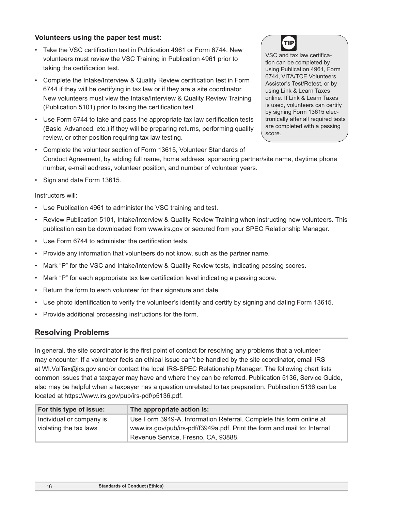## **Volunteers using the paper test must:**

- Take the VSC certification test in Publication 4961 or Form 6744. New volunteers must review the VSC Training in Publication 4961 prior to taking the certification test.
- Complete the Intake/Interview & Quality Review certification test in Form 6744 if they will be certifying in tax law or if they are a site coordinator. New volunteers must view the Intake/Interview & Quality Review Training (Publication 5101) prior to taking the certification test.
- Use Form 6744 to take and pass the appropriate tax law certification tests (Basic, Advanced, etc.) if they will be preparing returns, performing quality review, or other position requiring tax law testing.
- Complete the volunteer section of Form 13615, Volunteer Standards of Conduct Agreement, by adding full name, home address, sponsoring partner/site name, daytime phone number, e-mail address, volunteer position, and number of volunteer years.
- Sign and date Form 13615.

## Instructors will:

- Use Publication 4961 to administer the VSC training and test.
- Review Publication 5101, Intake/Interview & Quality Review Training when instructing new volunteers. This publication can be downloaded from www.irs.gov or secured from your SPEC Relationship Manager.
- Use Form 6744 to administer the certification tests.
- Provide any information that volunteers do not know, such as the partner name.
- Mark "P" for the VSC and Intake/Interview & Quality Review tests, indicating passing scores.
- Mark "P" for each appropriate tax law certification level indicating a passing score.
- Return the form to each volunteer for their signature and date.
- Use photo identification to verify the volunteer's identity and certify by signing and dating Form 13615.
- Provide additional processing instructions for the form.

## **Resolving Problems**

In general, the site coordinator is the first point of contact for resolving any problems that a volunteer may encounter. If a volunteer feels an ethical issue can't be handled by the site coordinator, email IRS at [WI.VolTax@irs.gov](mailto:WI.VolTax@irs.gov) and/or contact the local IRS-SPEC Relationship Manager. The following chart lists common issues that a taxpayer may have and where they can be referred. Publication 5136, Service Guide, also may be helpful when a taxpayer has a question unrelated to tax preparation. Publication 5136 can be located at https://www.irs.gov/pub/irs-pdf/p5136.pdf.

| For this type of issue:  | The appropriate action is:                                               |
|--------------------------|--------------------------------------------------------------------------|
| Individual or company is | Use Form 3949-A, Information Referral. Complete this form online at      |
| violating the tax laws   | www.irs.gov/pub/irs-pdf/f3949a.pdf. Print the form and mail to: Internal |
|                          | Revenue Service, Fresno, CA, 93888.                                      |

VSC and tax law certification can be completed by using Publication 4961, Form 6744, VITA/TCE Volunteers Assistor's Test/Retest, or by using Link & Learn Taxes online. If Link & Learn Taxes is used, volunteers can certify by signing Form 13615 electronically after all required tests are completed with a passing score.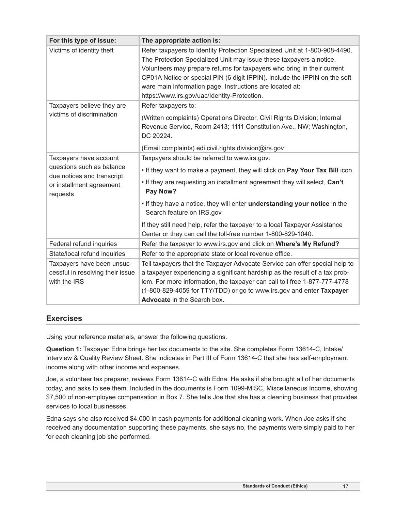| For this type of issue:                                                        | The appropriate action is:                                                                                                                                                                                                                                                                                                                                                                                              |  |  |  |  |  |
|--------------------------------------------------------------------------------|-------------------------------------------------------------------------------------------------------------------------------------------------------------------------------------------------------------------------------------------------------------------------------------------------------------------------------------------------------------------------------------------------------------------------|--|--|--|--|--|
| Victims of identity theft                                                      | Refer taxpayers to Identity Protection Specialized Unit at 1-800-908-4490.<br>The Protection Specialized Unit may issue these taxpayers a notice.<br>Volunteers may prepare returns for taxpayers who bring in their current<br>CP01A Notice or special PIN (6 digit IPPIN). Include the IPPIN on the soft-<br>ware main information page. Instructions are located at:<br>https://www.irs.gov/uac/Identity-Protection. |  |  |  |  |  |
| Taxpayers believe they are                                                     | Refer taxpayers to:                                                                                                                                                                                                                                                                                                                                                                                                     |  |  |  |  |  |
| victims of discrimination                                                      | (Written complaints) Operations Director, Civil Rights Division; Internal<br>Revenue Service, Room 2413; 1111 Constitution Ave., NW; Washington,<br>DC 20224.                                                                                                                                                                                                                                                           |  |  |  |  |  |
|                                                                                | (Email complaints) edi.civil.rights.division@irs.gov                                                                                                                                                                                                                                                                                                                                                                    |  |  |  |  |  |
| Taxpayers have account                                                         | Taxpayers should be referred to www.irs.gov:                                                                                                                                                                                                                                                                                                                                                                            |  |  |  |  |  |
| questions such as balance<br>due notices and transcript                        | . If they want to make a payment, they will click on Pay Your Tax Bill icon.                                                                                                                                                                                                                                                                                                                                            |  |  |  |  |  |
| or installment agreement<br>requests                                           | . If they are requesting an installment agreement they will select, Can't<br>Pay Now?                                                                                                                                                                                                                                                                                                                                   |  |  |  |  |  |
|                                                                                | . If they have a notice, they will enter understanding your notice in the<br>Search feature on IRS.gov.                                                                                                                                                                                                                                                                                                                 |  |  |  |  |  |
|                                                                                | If they still need help, refer the taxpayer to a local Taxpayer Assistance<br>Center or they can call the toll-free number 1-800-829-1040.                                                                                                                                                                                                                                                                              |  |  |  |  |  |
| Federal refund inquiries                                                       | Refer the taxpayer to www.irs.gov and click on Where's My Refund?                                                                                                                                                                                                                                                                                                                                                       |  |  |  |  |  |
| State/local refund inquiries                                                   | Refer to the appropriate state or local revenue office.                                                                                                                                                                                                                                                                                                                                                                 |  |  |  |  |  |
| Taxpayers have been unsuc-<br>cessful in resolving their issue<br>with the IRS | Tell taxpayers that the Taxpayer Advocate Service can offer special help to<br>a taxpayer experiencing a significant hardship as the result of a tax prob-<br>lem. For more information, the taxpayer can call toll free 1-877-777-4778<br>(1-800-829-4059 for TTY/TDD) or go to www.irs.gov and enter Taxpayer<br>Advocate in the Search box.                                                                          |  |  |  |  |  |

## **Exercises**

Using your reference materials, answer the following questions.

**Question 1:** Taxpayer Edna brings her tax documents to the site. She completes Form 13614-C, Intake/ Interview & Quality Review Sheet. She indicates in Part III of Form 13614-C that she has self-employment income along with other income and expenses.

Joe, a volunteer tax preparer, reviews Form 13614-C with Edna. He asks if she brought all of her documents today, and asks to see them. Included in the documents is Form 1099-MISC, Miscellaneous Income, showing \$7,500 of non-employee compensation in Box 7. She tells Joe that she has a cleaning business that provides services to local businesses.

Edna says she also received \$4,000 in cash payments for additional cleaning work. When Joe asks if she received any documentation supporting these payments, she says no, the payments were simply paid to her for each cleaning job she performed.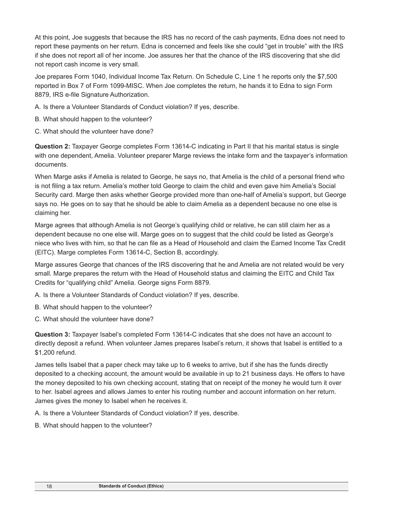At this point, Joe suggests that because the IRS has no record of the cash payments, Edna does not need to report these payments on her return. Edna is concerned and feels like she could "get in trouble" with the IRS if she does not report all of her income. Joe assures her that the chance of the IRS discovering that she did not report cash income is very small.

Joe prepares Form 1040, Individual Income Tax Return. On Schedule C, Line 1 he reports only the \$7,500 reported in Box 7 of Form 1099-MISC. When Joe completes the return, he hands it to Edna to sign Form 8879, IRS e-file Signature Authorization.

A. Is there a Volunteer Standards of Conduct violation? If yes, describe.

- B. What should happen to the volunteer?
- C. What should the volunteer have done?

**Question 2:** Taxpayer George completes Form 13614-C indicating in Part II that his marital status is single with one dependent, Amelia. Volunteer preparer Marge reviews the intake form and the taxpayer's information documents.

When Marge asks if Amelia is related to George, he says no, that Amelia is the child of a personal friend who is not filing a tax return. Amelia's mother told George to claim the child and even gave him Amelia's Social Security card. Marge then asks whether George provided more than one-half of Amelia's support, but George says no. He goes on to say that he should be able to claim Amelia as a dependent because no one else is claiming her.

Marge agrees that although Amelia is not George's qualifying child or relative, he can still claim her as a dependent because no one else will. Marge goes on to suggest that the child could be listed as George's niece who lives with him, so that he can file as a Head of Household and claim the Earned Income Tax Credit (EITC). Marge completes Form 13614-C, Section B, accordingly.

Marge assures George that chances of the IRS discovering that he and Amelia are not related would be very small. Marge prepares the return with the Head of Household status and claiming the EITC and Child Tax Credits for "qualifying child" Amelia. George signs Form 8879.

A. Is there a Volunteer Standards of Conduct violation? If yes, describe.

- B. What should happen to the volunteer?
- C. What should the volunteer have done?

**Question 3:** Taxpayer Isabel's completed Form 13614-C indicates that she does not have an account to directly deposit a refund. When volunteer James prepares Isabel's return, it shows that Isabel is entitled to a \$1,200 refund.

James tells Isabel that a paper check may take up to 6 weeks to arrive, but if she has the funds directly deposited to a checking account, the amount would be available in up to 21 business days. He offers to have the money deposited to his own checking account, stating that on receipt of the money he would turn it over to her. Isabel agrees and allows James to enter his routing number and account information on her return. James gives the money to Isabel when he receives it.

- A. Is there a Volunteer Standards of Conduct violation? If yes, describe.
- B. What should happen to the volunteer?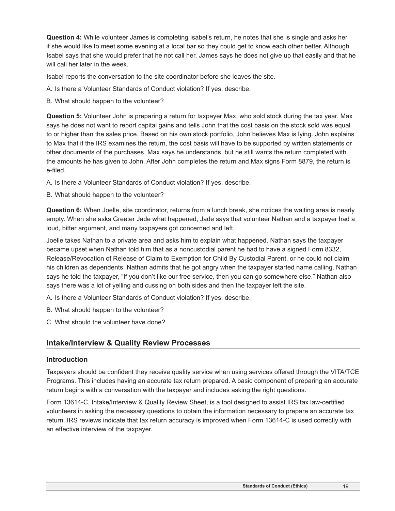**Question 4:** While volunteer James is completing Isabel's return, he notes that she is single and asks her if she would like to meet some evening at a local bar so they could get to know each other better. Although Isabel says that she would prefer that he not call her, James says he does not give up that easily and that he will call her later in the week.

Isabel reports the conversation to the site coordinator before she leaves the site.

A. Is there a Volunteer Standards of Conduct violation? If yes, describe.

B. What should happen to the volunteer?

**Question 5:** Volunteer John is preparing a return for taxpayer Max, who sold stock during the tax year. Max says he does not want to report capital gains and tells John that the cost basis on the stock sold was equal to or higher than the sales price. Based on his own stock portfolio, John believes Max is lying. John explains to Max that if the IRS examines the return, the cost basis will have to be supported by written statements or other documents of the purchases. Max says he understands, but he still wants the return completed with the amounts he has given to John. After John completes the return and Max signs Form 8879, the return is e-filed.

A. Is there a Volunteer Standards of Conduct violation? If yes, describe.

B. What should happen to the volunteer?

**Question 6:** When Joelle, site coordinator, returns from a lunch break, she notices the waiting area is nearly empty. When she asks Greeter Jade what happened, Jade says that volunteer Nathan and a taxpayer had a loud, bitter argument, and many taxpayers got concerned and left.

Joelle takes Nathan to a private area and asks him to explain what happened. Nathan says the taxpayer became upset when Nathan told him that as a noncustodial parent he had to have a signed Form 8332, Release/Revocation of Release of Claim to Exemption for Child By Custodial Parent, or he could not claim his children as dependents. Nathan admits that he got angry when the taxpayer started name calling. Nathan says he told the taxpayer, "If you don't like our free service, then you can go somewhere else." Nathan also says there was a lot of yelling and cussing on both sides and then the taxpayer left the site.

- A. Is there a Volunteer Standards of Conduct violation? If yes, describe.
- B. What should happen to the volunteer?
- C. What should the volunteer have done?

## **Intake/Interview & Quality Review Processes**

## **Introduction**

Taxpayers should be confident they receive quality service when using services offered through the VITA/TCE Programs. This includes having an accurate tax return prepared. A basic component of preparing an accurate return begins with a conversation with the taxpayer and includes asking the right questions.

Form 13614-C, Intake/Interview & Quality Review Sheet, is a tool designed to assist IRS tax law-certified volunteers in asking the necessary questions to obtain the information necessary to prepare an accurate tax return. IRS reviews indicate that tax return accuracy is improved when Form 13614-C is used correctly with an effective interview of the taxpayer.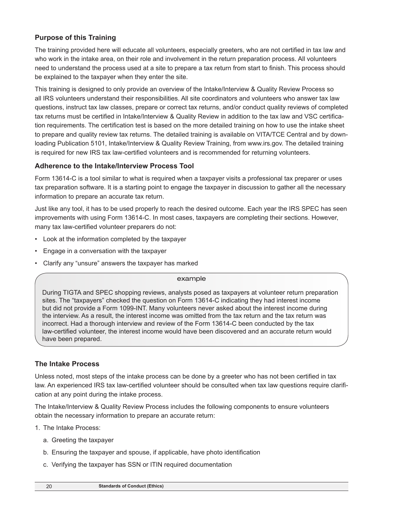## **Purpose of this Training**

The training provided here will educate all volunteers, especially greeters, who are not certified in tax law and who work in the intake area, on their role and involvement in the return preparation process. All volunteers need to understand the process used at a site to prepare a tax return from start to finish. This process should be explained to the taxpayer when they enter the site.

This training is designed to only provide an overview of the Intake/Interview & Quality Review Process so all IRS volunteers understand their responsibilities. All site coordinators and volunteers who answer tax law questions, instruct tax law classes, prepare or correct tax returns, and/or conduct quality reviews of completed tax returns must be certified in Intake/Interview & Quality Review in addition to the tax law and VSC certification requirements. The certification test is based on the more detailed training on how to use the intake sheet to prepare and quality review tax returns. The detailed training is available on VITA/TCE Central and by downloading Publication 5101, Intake/Interview & Quality Review Training, from www.irs.gov. The detailed training is required for new IRS tax law-certified volunteers and is recommended for returning volunteers.

## **Adherence to the Intake/Interview Process Tool**

Form 13614-C is a tool similar to what is required when a taxpayer visits a professional tax preparer or uses tax preparation software. It is a starting point to engage the taxpayer in discussion to gather all the necessary information to prepare an accurate tax return.

Just like any tool, it has to be used properly to reach the desired outcome. Each year the IRS SPEC has seen improvements with using Form 13614-C. In most cases, taxpayers are completing their sections. However, many tax law-certified volunteer preparers do not:

- Look at the information completed by the taxpayer
- Engage in a conversation with the taxpayer
- Clarify any "unsure" answers the taxpayer has marked

#### example

During TIGTA and SPEC shopping reviews, analysts posed as taxpayers at volunteer return preparation sites. The "taxpayers" checked the question on Form 13614-C indicating they had interest income but did not provide a Form 1099-INT. Many volunteers never asked about the interest income during the interview. As a result, the interest income was omitted from the tax return and the tax return was incorrect. Had a thorough interview and review of the Form 13614-C been conducted by the tax law-certified volunteer, the interest income would have been discovered and an accurate return would have been prepared.

## **The Intake Process**

Unless noted, most steps of the intake process can be done by a greeter who has not been certified in tax law. An experienced IRS tax law-certified volunteer should be consulted when tax law questions require clarification at any point during the intake process.

The Intake/Interview & Quality Review Process includes the following components to ensure volunteers obtain the necessary information to prepare an accurate return:

- 1. The Intake Process:
	- a. Greeting the taxpayer
	- b. Ensuring the taxpayer and spouse, if applicable, have photo identification
	- c. Verifying the taxpayer has SSN or ITIN required documentation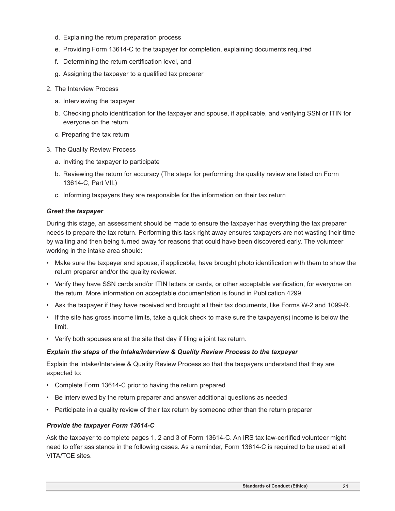- d. Explaining the return preparation process
- e. Providing Form 13614-C to the taxpayer for completion, explaining documents required
- f. Determining the return certification level, and
- g. Assigning the taxpayer to a qualified tax preparer
- 2. The Interview Process
	- a. Interviewing the taxpayer
	- b. Checking photo identification for the taxpayer and spouse, if applicable, and verifying SSN or ITIN for everyone on the return
	- c. Preparing the tax return
- 3. The Quality Review Process
	- a. Inviting the taxpayer to participate
	- b. Reviewing the return for accuracy (The steps for performing the quality review are listed on Form 13614-C, Part VII.)
	- c. Informing taxpayers they are responsible for the information on their tax return

## *Greet the taxpayer*

During this stage, an assessment should be made to ensure the taxpayer has everything the tax preparer needs to prepare the tax return. Performing this task right away ensures taxpayers are not wasting their time by waiting and then being turned away for reasons that could have been discovered early. The volunteer working in the intake area should:

- Make sure the taxpayer and spouse, if applicable, have brought photo identification with them to show the return preparer and/or the quality reviewer.
- Verify they have SSN cards and/or ITIN letters or cards, or other acceptable verification, for everyone on the return. More information on acceptable documentation is found in Publication 4299.
- Ask the taxpayer if they have received and brought all their tax documents, like Forms W-2 and 1099-R.
- If the site has gross income limits, take a quick check to make sure the taxpayer(s) income is below the limit.
- Verify both spouses are at the site that day if filing a joint tax return.

## *Explain the steps of the Intake/Interview & Quality Review Process to the taxpayer*

Explain the Intake/Interview & Quality Review Process so that the taxpayers understand that they are expected to:

- Complete Form 13614-C prior to having the return prepared
- Be interviewed by the return preparer and answer additional questions as needed
- Participate in a quality review of their tax return by someone other than the return preparer

## *Provide the taxpayer Form 13614-C*

Ask the taxpayer to complete pages 1, 2 and 3 of Form 13614-C. An IRS tax law-certified volunteer might need to offer assistance in the following cases. As a reminder, Form 13614-C is required to be used at all VITA/TCE sites.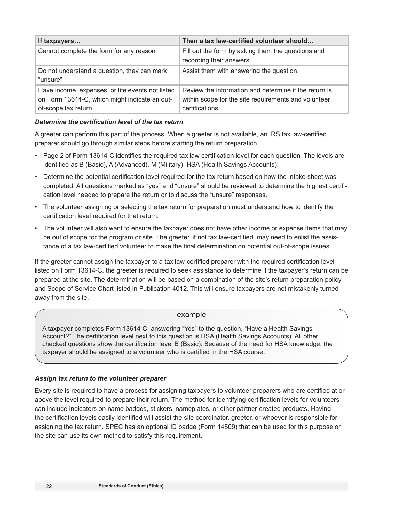| If taxpayers                                                                                                             | Then a tax law-certified volunteer should                                                                                        |  |  |  |  |  |  |
|--------------------------------------------------------------------------------------------------------------------------|----------------------------------------------------------------------------------------------------------------------------------|--|--|--|--|--|--|
| Cannot complete the form for any reason                                                                                  | Fill out the form by asking them the questions and<br>recording their answers.                                                   |  |  |  |  |  |  |
| Do not understand a question, they can mark<br>"unsure"                                                                  | Assist them with answering the question.                                                                                         |  |  |  |  |  |  |
| Have income, expenses, or life events not listed<br>on Form 13614-C, which might indicate an out-<br>of-scope tax return | Review the information and determine if the return is<br>within scope for the site requirements and volunteer<br>certifications. |  |  |  |  |  |  |

## *Determine the certification level of the tax return*

A greeter can perform this part of the process. When a greeter is not available, an IRS tax law-certified preparer should go through similar steps before starting the return preparation.

- Page 2 of Form 13614-C identifies the required tax law certification level for each question. The levels are identified as B (Basic), A (Advanced), M (Military), HSA (Health Savings Accounts).
- Determine the potential certification level required for the tax return based on how the intake sheet was completed. All questions marked as "yes" and "unsure" should be reviewed to determine the highest certification level needed to prepare the return or to discuss the "unsure" responses.
- The volunteer assigning or selecting the tax return for preparation must understand how to identify the certification level required for that return.
- The volunteer will also want to ensure the taxpayer does not have other income or expense items that may be out of scope for the program or site. The greeter, if not tax law-certified, may need to enlist the assistance of a tax law-certified volunteer to make the final determination on potential out-of-scope issues.

If the greeter cannot assign the taxpayer to a tax law-certified preparer with the required certification level listed on Form 13614-C, the greeter is required to seek assistance to determine if the taxpayer's return can be prepared at the site. The determination will be based on a combination of the site's return preparation policy and Scope of Service Chart listed in Publication 4012. This will ensure taxpayers are not mistakenly turned away from the site.

#### example

A taxpayer completes Form 13614-C, answering "Yes" to the question, "Have a Health Savings Account?" The certification level next to this question is HSA (Health Savings Accounts). All other checked questions show the certification level B (Basic). Because of the need for HSA knowledge, the taxpayer should be assigned to a volunteer who is certified in the HSA course.

## *Assign tax return to the volunteer preparer*

Every site is required to have a process for assigning taxpayers to volunteer preparers who are certified at or above the level required to prepare their return. The method for identifying certification levels for volunteers can include indicators on name badges, stickers, nameplates, or other partner-created products. Having the certification levels easily identified will assist the site coordinator, greeter, or whoever is responsible for assigning the tax return. SPEC has an optional ID badge (Form 14509) that can be used for this purpose or the site can use its own method to satisfy this requirement.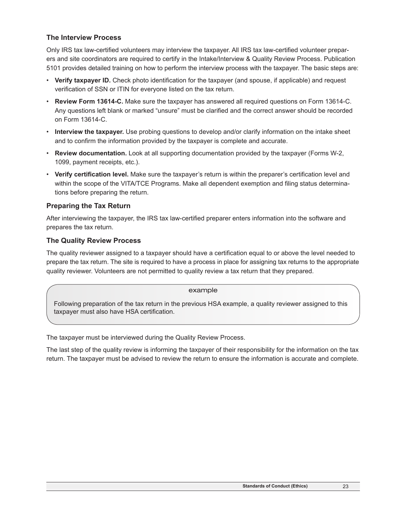## **The Interview Process**

Only IRS tax law-certified volunteers may interview the taxpayer. All IRS tax law-certified volunteer preparers and site coordinators are required to certify in the Intake/Interview & Quality Review Process. Publication 5101 provides detailed training on how to perform the interview process with the taxpayer. The basic steps are:

- **Verify taxpayer ID.** Check photo identification for the taxpayer (and spouse, if applicable) and request verification of SSN or ITIN for everyone listed on the tax return.
- **Review Form 13614-C.** Make sure the taxpayer has answered all required questions on Form 13614-C. Any questions left blank or marked "unsure" must be clarified and the correct answer should be recorded on Form 13614-C.
- **Interview the taxpayer.** Use probing questions to develop and/or clarify information on the intake sheet and to confirm the information provided by the taxpayer is complete and accurate.
- **Review documentation.** Look at all supporting documentation provided by the taxpayer (Forms W-2, 1099, payment receipts, etc.).
- **Verify certification level.** Make sure the taxpayer's return is within the preparer's certification level and within the scope of the VITA/TCE Programs. Make all dependent exemption and filing status determinations before preparing the return.

## **Preparing the Tax Return**

After interviewing the taxpayer, the IRS tax law-certified preparer enters information into the software and prepares the tax return.

## **The Quality Review Process**

The quality reviewer assigned to a taxpayer should have a certification equal to or above the level needed to prepare the tax return. The site is required to have a process in place for assigning tax returns to the appropriate quality reviewer. Volunteers are not permitted to quality review a tax return that they prepared.

## example

Following preparation of the tax return in the previous HSA example, a quality reviewer assigned to this taxpayer must also have HSA certification.

The taxpayer must be interviewed during the Quality Review Process.

The last step of the quality review is informing the taxpayer of their responsibility for the information on the tax return. The taxpayer must be advised to review the return to ensure the information is accurate and complete.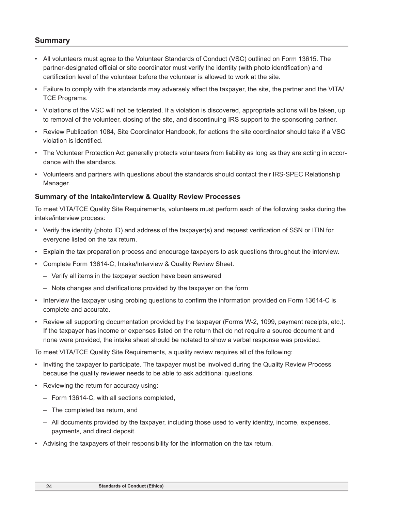## **Summary**

- All volunteers must agree to the Volunteer Standards of Conduct (VSC) outlined on Form 13615. The partner-designated official or site coordinator must verify the identity (with photo identification) and certification level of the volunteer before the volunteer is allowed to work at the site.
- Failure to comply with the standards may adversely affect the taxpayer, the site, the partner and the VITA/ TCE Programs.
- Violations of the VSC will not be tolerated. If a violation is discovered, appropriate actions will be taken, up to removal of the volunteer, closing of the site, and discontinuing IRS support to the sponsoring partner.
- Review Publication 1084, Site Coordinator Handbook, for actions the site coordinator should take if a VSC violation is identified.
- The Volunteer Protection Act generally protects volunteers from liability as long as they are acting in accordance with the standards.
- Volunteers and partners with questions about the standards should contact their IRS-SPEC Relationship Manager.

## **Summary of the Intake/Interview & Quality Review Processes**

To meet VITA/TCE Quality Site Requirements, volunteers must perform each of the following tasks during the intake/interview process:

- Verify the identity (photo ID) and address of the taxpayer(s) and request verification of SSN or ITIN for everyone listed on the tax return.
- Explain the tax preparation process and encourage taxpayers to ask questions throughout the interview.
- Complete Form 13614-C, Intake/Interview & Quality Review Sheet.
	- Verify all items in the taxpayer section have been answered
	- Note changes and clarifications provided by the taxpayer on the form
- Interview the taxpayer using probing questions to confirm the information provided on Form 13614-C is complete and accurate.
- Review all supporting documentation provided by the taxpayer (Forms W-2, 1099, payment receipts, etc.). If the taxpayer has income or expenses listed on the return that do not require a source document and none were provided, the intake sheet should be notated to show a verbal response was provided.

To meet VITA/TCE Quality Site Requirements, a quality review requires all of the following:

- Inviting the taxpayer to participate. The taxpayer must be involved during the Quality Review Process because the quality reviewer needs to be able to ask additional questions.
- Reviewing the return for accuracy using:
	- Form 13614-C, with all sections completed,
	- The completed tax return, and
	- All documents provided by the taxpayer, including those used to verify identity, income, expenses, payments, and direct deposit.
- Advising the taxpayers of their responsibility for the information on the tax return.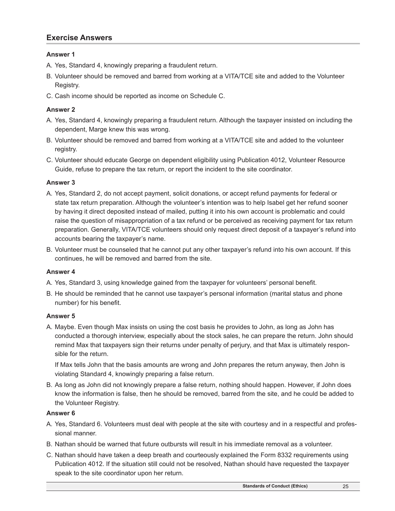## **Exercise Answers**

## **Answer 1**

- A. Yes, Standard 4, knowingly preparing a fraudulent return.
- B. Volunteer should be removed and barred from working at a VITA/TCE site and added to the Volunteer Registry.
- C. Cash income should be reported as income on Schedule C.

## **Answer 2**

- A. Yes, Standard 4, knowingly preparing a fraudulent return. Although the taxpayer insisted on including the dependent, Marge knew this was wrong.
- B. Volunteer should be removed and barred from working at a VITA/TCE site and added to the volunteer registry.
- C. Volunteer should educate George on dependent eligibility using Publication 4012, Volunteer Resource Guide, refuse to prepare the tax return, or report the incident to the site coordinator.

## **Answer 3**

- A. Yes, Standard 2, do not accept payment, solicit donations, or accept refund payments for federal or state tax return preparation. Although the volunteer's intention was to help Isabel get her refund sooner by having it direct deposited instead of mailed, putting it into his own account is problematic and could raise the question of misappropriation of a tax refund or be perceived as receiving payment for tax return preparation. Generally, VITA/TCE volunteers should only request direct deposit of a taxpayer's refund into accounts bearing the taxpayer's name.
- B. Volunteer must be counseled that he cannot put any other taxpayer's refund into his own account. If this continues, he will be removed and barred from the site.

## **Answer 4**

- A. Yes, Standard 3, using knowledge gained from the taxpayer for volunteers' personal benefit.
- B. He should be reminded that he cannot use taxpayer's personal information (marital status and phone number) for his benefit.

## **Answer 5**

A. Maybe. Even though Max insists on using the cost basis he provides to John, as long as John has conducted a thorough interview, especially about the stock sales, he can prepare the return. John should remind Max that taxpayers sign their returns under penalty of perjury, and that Max is ultimately responsible for the return.

If Max tells John that the basis amounts are wrong and John prepares the return anyway, then John is violating Standard 4, knowingly preparing a false return.

B. As long as John did not knowingly prepare a false return, nothing should happen. However, if John does know the information is false, then he should be removed, barred from the site, and he could be added to the Volunteer Registry.

## **Answer 6**

- A. Yes, Standard 6. Volunteers must deal with people at the site with courtesy and in a respectful and professional manner.
- B. Nathan should be warned that future outbursts will result in his immediate removal as a volunteer.
- C. Nathan should have taken a deep breath and courteously explained the Form 8332 requirements using Publication 4012. If the situation still could not be resolved, Nathan should have requested the taxpayer speak to the site coordinator upon her return.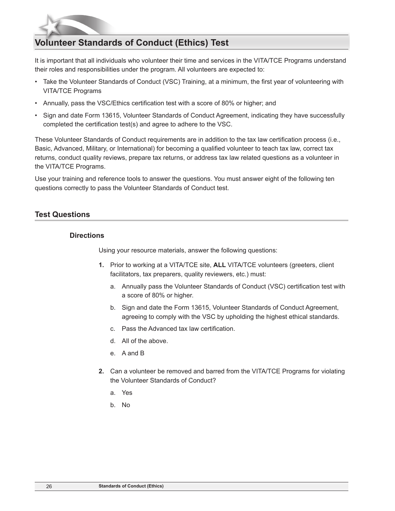# **Volunteer Standards of Conduct (Ethics) Test**

It is important that all individuals who volunteer their time and services in the VITA/TCE Programs understand their roles and responsibilities under the program. All volunteers are expected to:

- Take the Volunteer Standards of Conduct (VSC) Training, at a minimum, the first year of volunteering with VITA/TCE Programs
- Annually, pass the VSC/Ethics certification test with a score of 80% or higher; and
- Sign and date Form 13615, Volunteer Standards of Conduct Agreement, indicating they have successfully completed the certification test(s) and agree to adhere to the VSC.

These Volunteer Standards of Conduct requirements are in addition to the tax law certification process (i.e., Basic, Advanced, Military, or International) for becoming a qualified volunteer to teach tax law, correct tax returns, conduct quality reviews, prepare tax returns, or address tax law related questions as a volunteer in the VITA/TCE Programs.

Use your training and reference tools to answer the questions. You must answer eight of the following ten questions correctly to pass the Volunteer Standards of Conduct test.

## **Test Questions**

## **Directions**

Using your resource materials, answer the following questions:

- **1.** Prior to working at a VITA/TCE site, **ALL** VITA/TCE volunteers (greeters, client facilitators, tax preparers, quality reviewers, etc.) must:
	- a. Annually pass the Volunteer Standards of Conduct (VSC) certification test with a score of 80% or higher.
	- b. Sign and date the Form 13615, Volunteer Standards of Conduct Agreement, agreeing to comply with the VSC by upholding the highest ethical standards.
	- c. Pass the Advanced tax law certification.
	- d. All of the above.
	- e. A and B
- **2.** Can a volunteer be removed and barred from the VITA/TCE Programs for violating the Volunteer Standards of Conduct?
	- a. Yes
	- b. No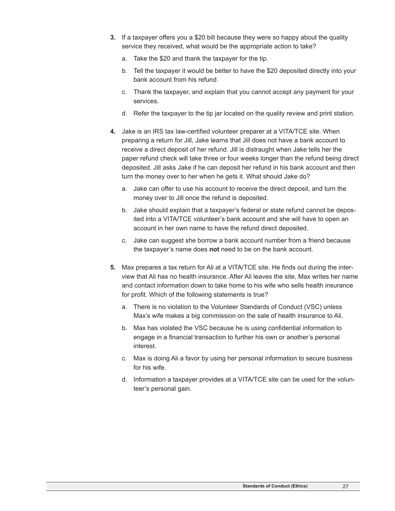- **3.** If a taxpayer offers you a \$20 bill because they were so happy about the quality service they received, what would be the appropriate action to take?
	- a. Take the \$20 and thank the taxpayer for the tip.
	- b. Tell the taxpayer it would be better to have the \$20 deposited directly into your bank account from his refund.
	- c. Thank the taxpayer, and explain that you cannot accept any payment for your services.
	- d. Refer the taxpayer to the tip jar located on the quality review and print station.
- **4.** Jake is an IRS tax law-certified volunteer preparer at a VITA/TCE site. When preparing a return for Jill, Jake learns that Jill does not have a bank account to receive a direct deposit of her refund. Jill is distraught when Jake tells her the paper refund check will take three or four weeks longer than the refund being direct deposited. Jill asks Jake if he can deposit her refund in his bank account and then turn the money over to her when he gets it. What should Jake do?
	- a. Jake can offer to use his account to receive the direct deposit, and turn the money over to Jill once the refund is deposited.
	- b. Jake should explain that a taxpayer's federal or state refund cannot be deposited into a VITA/TCE volunteer's bank account and she will have to open an account in her own name to have the refund direct deposited.
	- c. Jake can suggest she borrow a bank account number from a friend because the taxpayer's name does **not** need to be on the bank account.
- **5.** Max prepares a tax return for Ali at a VITA/TCE site. He finds out during the interview that Ali has no health insurance. After Ali leaves the site, Max writes her name and contact information down to take home to his wife who sells health insurance for profit. Which of the following statements is true?
	- a. There is no violation to the Volunteer Standards of Conduct (VSC) unless Max's wife makes a big commission on the sale of health insurance to Ali.
	- b. Max has violated the VSC because he is using confidential information to engage in a financial transaction to further his own or another's personal interest.
	- c. Max is doing Ali a favor by using her personal information to secure business for his wife.
	- d. Information a taxpayer provides at a VITA/TCE site can be used for the volunteer's personal gain.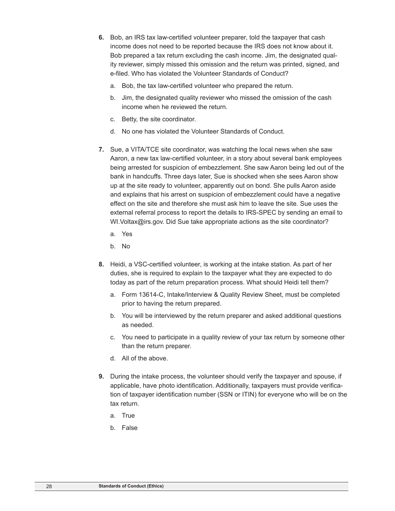- **6.** Bob, an IRS tax law-certified volunteer preparer, told the taxpayer that cash income does not need to be reported because the IRS does not know about it. Bob prepared a tax return excluding the cash income. Jim, the designated quality reviewer, simply missed this omission and the return was printed, signed, and e-filed. Who has violated the Volunteer Standards of Conduct?
	- a. Bob, the tax law-certified volunteer who prepared the return.
	- b. Jim, the designated quality reviewer who missed the omission of the cash income when he reviewed the return.
	- c. Betty, the site coordinator.
	- d. No one has violated the Volunteer Standards of Conduct.
- **7.** Sue, a VITA/TCE site coordinator, was watching the local news when she saw Aaron, a new tax law-certified volunteer, in a story about several bank employees being arrested for suspicion of embezzlement. She saw Aaron being led out of the bank in handcuffs. Three days later, Sue is shocked when she sees Aaron show up at the site ready to volunteer, apparently out on bond. She pulls Aaron aside and explains that his arrest on suspicion of embezzlement could have a negative effect on the site and therefore she must ask him to leave the site. Sue uses the external referral process to report the details to IRS-SPEC by sending an email to WI.Voltax@irs.gov. Did Sue take appropriate actions as the site coordinator?
	- a. Yes
	- b. No
- **8.** Heidi, a VSC-certified volunteer, is working at the intake station. As part of her duties, she is required to explain to the taxpayer what they are expected to do today as part of the return preparation process. What should Heidi tell them?
	- a. Form 13614-C, Intake/Interview & Quality Review Sheet, must be completed prior to having the return prepared.
	- b. You will be interviewed by the return preparer and asked additional questions as needed.
	- c. You need to participate in a quality review of your tax return by someone other than the return preparer.
	- d. All of the above.
- **9.** During the intake process, the volunteer should verify the taxpayer and spouse, if applicable, have photo identification. Additionally, taxpayers must provide verification of taxpayer identification number (SSN or ITIN) for everyone who will be on the tax return.
	- a. True
	- b. False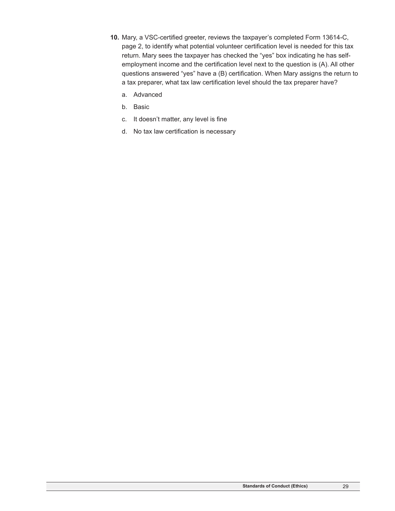- **10.** Mary, a VSC-certified greeter, reviews the taxpayer's completed Form 13614-C, page 2, to identify what potential volunteer certification level is needed for this tax return. Mary sees the taxpayer has checked the "yes" box indicating he has selfemployment income and the certification level next to the question is (A). All other questions answered "yes" have a (B) certification. When Mary assigns the return to a tax preparer, what tax law certification level should the tax preparer have?
	- a. Advanced
	- b. Basic
	- c. It doesn't matter, any level is fine
	- d. No tax law certification is necessary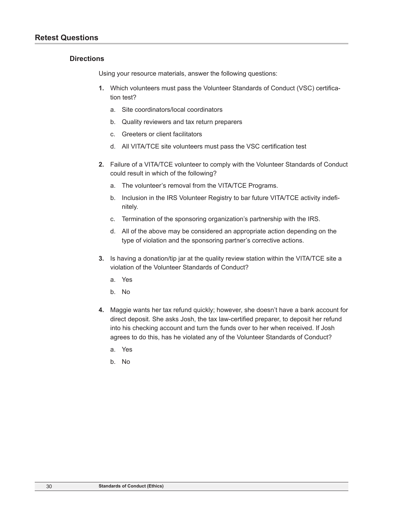#### **Directions**

Using your resource materials, answer the following questions:

- **1.** Which volunteers must pass the Volunteer Standards of Conduct (VSC) certification test?
	- a. Site coordinators/local coordinators
	- b. Quality reviewers and tax return preparers
	- c. Greeters or client facilitators
	- d. All VITA/TCE site volunteers must pass the VSC certification test
- **2.** Failure of a VITA/TCE volunteer to comply with the Volunteer Standards of Conduct could result in which of the following?
	- a. The volunteer's removal from the VITA/TCE Programs.
	- b. Inclusion in the IRS Volunteer Registry to bar future VITA/TCE activity indefinitely.
	- c. Termination of the sponsoring organization's partnership with the IRS.
	- d. All of the above may be considered an appropriate action depending on the type of violation and the sponsoring partner's corrective actions.
- **3.** Is having a donation/tip jar at the quality review station within the VITA/TCE site a violation of the Volunteer Standards of Conduct?
	- a. Yes
	- b. No
- **4.** Maggie wants her tax refund quickly; however, she doesn't have a bank account for direct deposit. She asks Josh, the tax law-certified preparer, to deposit her refund into his checking account and turn the funds over to her when received. If Josh agrees to do this, has he violated any of the Volunteer Standards of Conduct?
	- a. Yes
	- b. No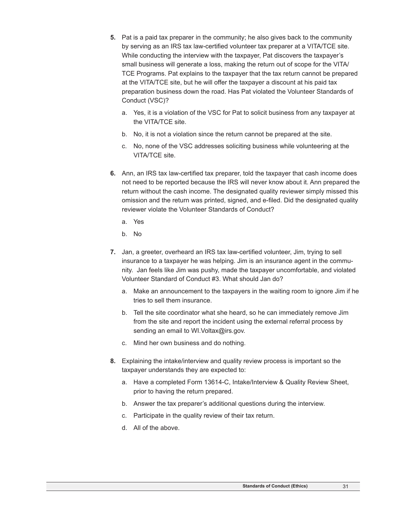- **5.** Pat is a paid tax preparer in the community; he also gives back to the community by serving as an IRS tax law-certified volunteer tax preparer at a VITA/TCE site. While conducting the interview with the taxpayer, Pat discovers the taxpayer's small business will generate a loss, making the return out of scope for the VITA/ TCE Programs. Pat explains to the taxpayer that the tax return cannot be prepared at the VITA/TCE site, but he will offer the taxpayer a discount at his paid tax preparation business down the road. Has Pat violated the Volunteer Standards of Conduct (VSC)?
	- a. Yes, it is a violation of the VSC for Pat to solicit business from any taxpayer at the VITA/TCE site.
	- b. No, it is not a violation since the return cannot be prepared at the site.
	- c. No, none of the VSC addresses soliciting business while volunteering at the VITA/TCE site.
- **6.** Ann, an IRS tax law-certified tax preparer, told the taxpayer that cash income does not need to be reported because the IRS will never know about it. Ann prepared the return without the cash income. The designated quality reviewer simply missed this omission and the return was printed, signed, and e-filed. Did the designated quality reviewer violate the Volunteer Standards of Conduct?
	- a. Yes
	- b. No
- **7.** Jan, a greeter, overheard an IRS tax law-certified volunteer, Jim, trying to sell insurance to a taxpayer he was helping. Jim is an insurance agent in the community. Jan feels like Jim was pushy, made the taxpayer uncomfortable, and violated Volunteer Standard of Conduct #3. What should Jan do?
	- a. Make an announcement to the taxpayers in the waiting room to ignore Jim if he tries to sell them insurance.
	- b. Tell the site coordinator what she heard, so he can immediately remove Jim from the site and report the incident using the external referral process by sending an email to WI. Voltax@irs.gov.
	- c. Mind her own business and do nothing.
- **8.** Explaining the intake/interview and quality review process is important so the taxpayer understands they are expected to:
	- a. Have a completed Form 13614-C, Intake/Interview & Quality Review Sheet, prior to having the return prepared.
	- b. Answer the tax preparer's additional questions during the interview.
	- c. Participate in the quality review of their tax return.
	- d. All of the above.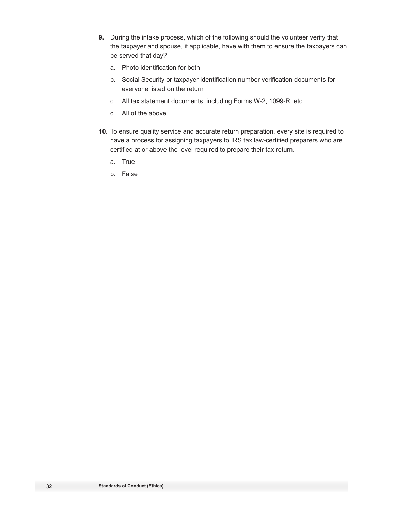- **9.** During the intake process, which of the following should the volunteer verify that the taxpayer and spouse, if applicable, have with them to ensure the taxpayers can be served that day?
	- a. Photo identification for both
	- b. Social Security or taxpayer identification number verification documents for everyone listed on the return
	- c. All tax statement documents, including Forms W-2, 1099-R, etc.
	- d. All of the above
- **10.** To ensure quality service and accurate return preparation, every site is required to have a process for assigning taxpayers to IRS tax law-certified preparers who are certified at or above the level required to prepare their tax return.
	- a. True
	- b. False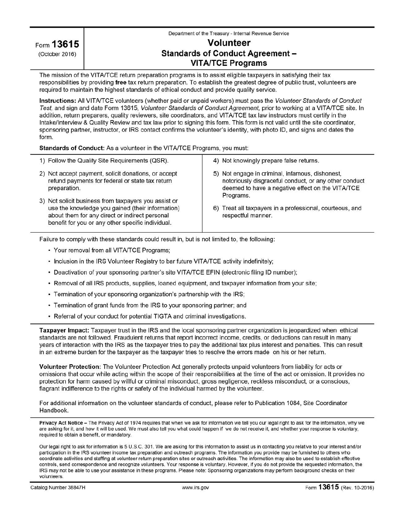| Form 13615     |
|----------------|
| (October 2016) |

#### Department of the Treasury - Internal Revenue Service

# **Volunteer Standards of Conduct Agreement -VITA/TCE Programs**

The mission of the VITA/TCE return preparation programs is to assist eligible taxpayers in satisfying their tax responsibilities by providing free tax return preparation. To establish the greatest degree of public trust, volunteers are required to maintain the highest standards of ethical conduct and provide quality service.

Instructions: All VITA/TCE volunteers (whether paid or unpaid workers) must pass the Volunteer Standards of Conduct Test, and sign and date Form 13615, Volunteer Standards of Conduct Agreement, prior to working at a VITA/TCE site. In addition, return preparers, quality reviewers, site coordinators, and VITA/TCE tax law instructors must certify in the Intake/Interview & Quality Review and tax law prior to signing this form. This form is not valid until the site coordinator, sponsoring partner, instructor, or IRS contact confirms the volunteer's identity, with photo ID, and signs and dates the form.

Standards of Conduct: As a volunteer in the VITA/TCE Programs, you must:

| 1) Follow the Quality Site Requirements (QSR).                                                                                                                                                                  | 4) Not knowingly prepare false returns.                                                                                                                                   |
|-----------------------------------------------------------------------------------------------------------------------------------------------------------------------------------------------------------------|---------------------------------------------------------------------------------------------------------------------------------------------------------------------------|
| 2) Not accept payment, solicit donations, or accept<br>refund payments for federal or state tax return<br>preparation.                                                                                          | 5) Not engage in criminal, infamous, dishonest,<br>notoriously disgraceful conduct, or any other conduct<br>deemed to have a negative effect on the VITA/TCE<br>Programs. |
| 3) Not solicit business from taxpayers you assist or<br>use the knowledge you gained (their information)<br>about them for any direct or indirect personal<br>benefit for you or any other specific individual. | 6) Treat all taxpayers in a professional, courteous, and<br>respectful manner.                                                                                            |

Failure to comply with these standards could result in, but is not limited to, the following:

- Your removal from all VITA/TCE Programs;
- Inclusion in the IRS Volunteer Registry to bar future VITA/TCE activity indefinitely;
- Deactivation of your sponsoring partner's site VITA/TCE EFIN (electronic filing ID number);
- · Removal of all IRS products, supplies, loaned equipment, and taxpayer information from your site;
- Termination of your sponsoring organization's partnership with the IRS;
- Termination of grant funds from the IRS to your sponsoring partner; and
- Referral of your conduct for potential TIGTA and criminal investigations.

Taxpayer Impact: Taxpayer trust in the IRS and the local sponsoring partner organization is jeopardized when ethical standards are not followed. Fraudulent returns that report incorrect income, credits, or deductions can result in many years of interaction with the IRS as the taxpayer tries to pay the additional tax plus interest and penalties. This can result in an extreme burden for the taxpayer as the taxpayer tries to resolve the errors made on his or her return.

Volunteer Protection: The Volunteer Protection Act generally protects unpaid volunteers from liability for acts or omissions that occur while acting within the scope of their responsibilities at the time of the act or omission. It provides no protection for harm caused by willful or criminal misconduct, gross negligence, reckless misconduct, or a conscious, flagrant indifference to the rights or safety of the individual harmed by the volunteer.

For additional information on the volunteer standards of conduct, please refer to Publication 1084, Site Coordinator Handbook.

Privacy Act Notice - The Privacy Act of 1974 requires that when we ask for information we tell you our legal right to ask for the information, why we are asking for it, and how it will be used. We must also tell you what could happen if we do not receive it, and whether your response is voluntary, required to obtain a benefit, or mandatory.

Our legal right to ask for information is 5 U.S.C. 301. We are asking for this information to assist us in contacting you relative to your interest and/or participation in the IRS volunteer income tax preparation and outreach programs. The information you provide may be furnished to others who coordinate activities and staffing at volunteer return preparation sites or outreach activities. The information may also be used to establish effective controls, send correspondence and recognize volunteers. Your response is voluntary. However, if you do not provide the requested information, the IRS may not be able to use your assistance in these programs. Please note: Sponsoring organizations may perform background checks on their volunteers